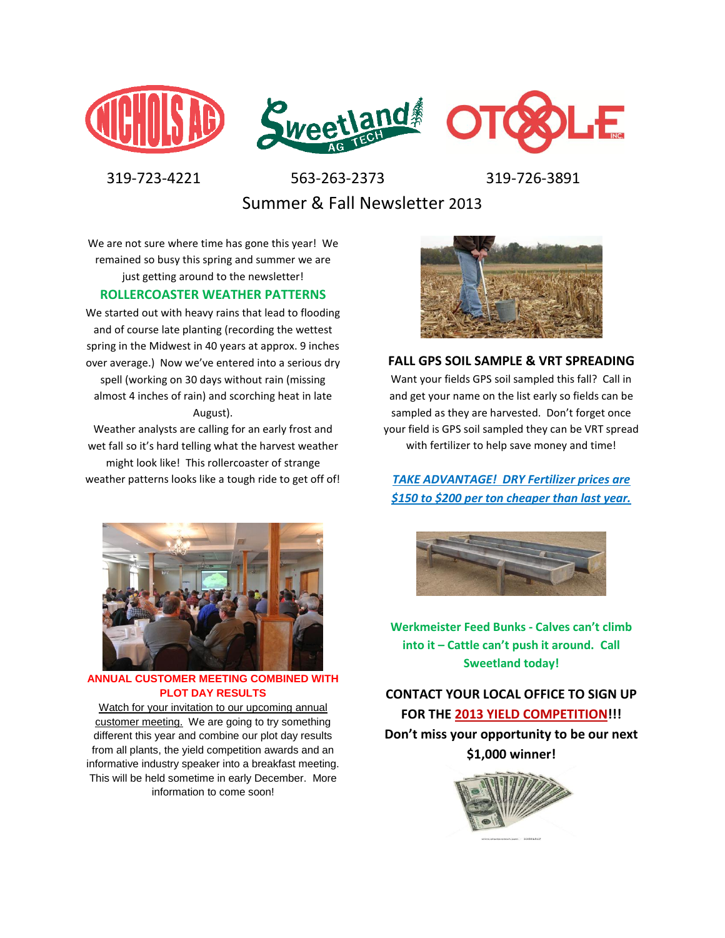



 319-723-4221 563-263-2373 319-726-3891 Summer & Fall Newsletter 2013

We are not sure where time has gone this year! We remained so busy this spring and summer we are just getting around to the newsletter!

#### **ROLLERCOASTER WEATHER PATTERNS**

We started out with heavy rains that lead to flooding and of course late planting (recording the wettest spring in the Midwest in 40 years at approx. 9 inches over average.) Now we've entered into a serious dry spell (working on 30 days without rain (missing almost 4 inches of rain) and scorching heat in late August).

Weather analysts are calling for an early frost and wet fall so it's hard telling what the harvest weather might look like! This rollercoaster of strange weather patterns looks like a tough ride to get off of!



**ANNUAL CUSTOMER MEETING COMBINED WITH PLOT DAY RESULTS**

Watch for your invitation to our upcoming annual customer meeting. We are going to try something different this year and combine our plot day results from all plants, the yield competition awards and an informative industry speaker into a breakfast meeting. This will be held sometime in early December. More information to come soon!



**FALL GPS SOIL SAMPLE & VRT SPREADING** Want your fields GPS soil sampled this fall? Call in and get your name on the list early so fields can be sampled as they are harvested. Don't forget once your field is GPS soil sampled they can be VRT spread with fertilizer to help save money and time!

*TAKE ADVANTAGE! DRY Fertilizer prices are \$150 to \$200 per ton cheaper than last year.* 



**Werkmeister Feed Bunks - Calves can't climb into it – Cattle can't push it around. Call Sweetland today!**

**CONTACT YOUR LOCAL OFFICE TO SIGN UP FOR THE 2013 YIELD COMPETITION!!! Don't miss your opportunity to be our next** 

**\$1,000 winner!**